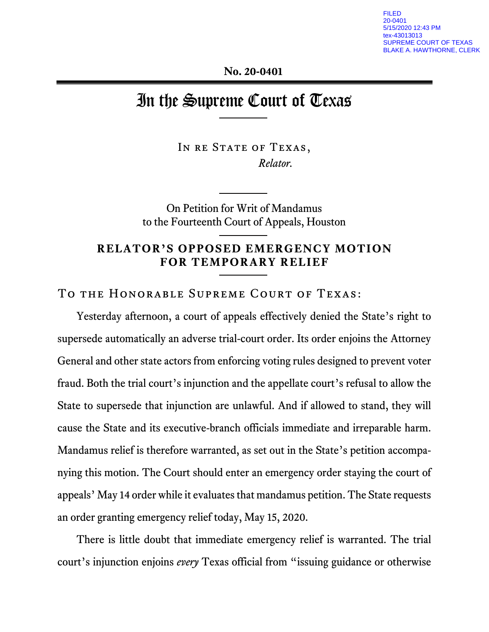**No. 20-0401**

# In the Supreme Court of Texas

IN RE STATE OF TEXAS, *Relator.*

On Petition for Writ of Mandamus to the Fourteenth Court of Appeals, Houston

# **RELATOR'S OPPOSED EMERGENCY MOTION FOR TEMPORARY RELIEF**

To the Honorable Supreme Court of Texas:

Yesterday afternoon, a court of appeals effectively denied the State's right to supersede automatically an adverse trial-court order. Its order enjoins the Attorney General and other state actors from enforcing voting rules designed to prevent voter fraud. Both the trial court's injunction and the appellate court's refusal to allow the State to supersede that injunction are unlawful. And if allowed to stand, they will cause the State and its executive-branch officials immediate and irreparable harm. Mandamus relief is therefore warranted, as set out in the State's petition accompanying this motion. The Court should enter an emergency order staying the court of appeals' May 14 order while it evaluates that mandamus petition. The State requests an order granting emergency relief today, May 15, 2020.

There is little doubt that immediate emergency relief is warranted. The trial court's injunction enjoins *every* Texas official from "issuing guidance or otherwise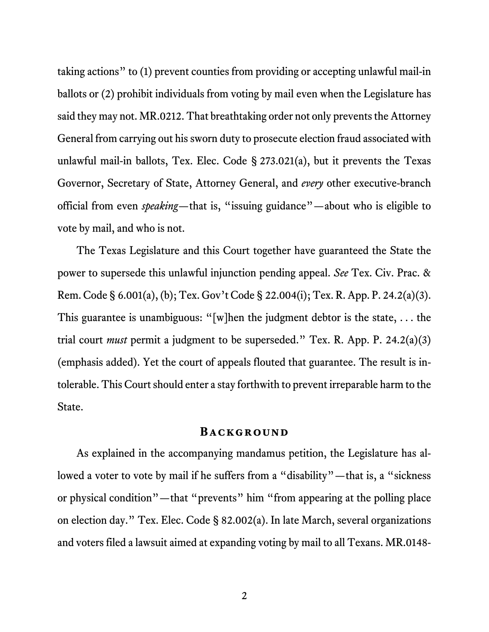taking actions" to (1) prevent counties from providing or accepting unlawful mail-in ballots or (2) prohibit individuals from voting by mail even when the Legislature has said they may not. MR.0212. That breathtaking order not only prevents the Attorney General from carrying out his sworn duty to prosecute election fraud associated with unlawful mail-in ballots, Tex. Elec. Code § 273.021(a), but it prevents the Texas Governor, Secretary of State, Attorney General, and *every* other executive-branch official from even *speaking*—that is, "issuing guidance"—about who is eligible to vote by mail, and who is not.

The Texas Legislature and this Court together have guaranteed the State the power to supersede this unlawful injunction pending appeal. *See* Tex. Civ. Prac. & Rem. Code § 6.001(a), (b); Tex. Gov't Code § 22.004(i); Tex. R. App. P. 24.2(a)(3). This guarantee is unambiguous: "[w]hen the judgment debtor is the state, . . . the trial court *must* permit a judgment to be superseded." Tex. R. App. P. 24.2(a)(3) (emphasis added). Yet the court of appeals flouted that guarantee. The result is intolerable. This Court should enter a stay forthwith to prevent irreparable harm to the State.

#### **BACKGROUND**

As explained in the accompanying mandamus petition, the Legislature has allowed a voter to vote by mail if he suffers from a "disability"—that is, a "sickness" or physical condition"—that "prevents" him "from appearing at the polling place on election day." Tex. Elec. Code § 82.002(a). In late March, several organizations and voters filed a lawsuit aimed at expanding voting by mail to all Texans. MR.0148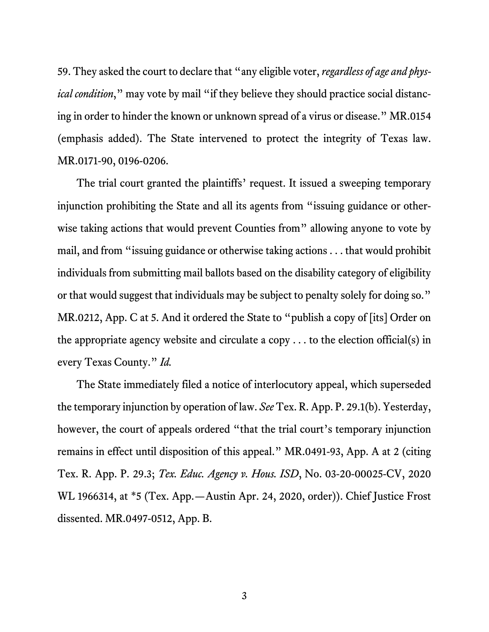59. They asked the court to declare that "any eligible voter, *regardless of age and physical condition*," may vote by mail "if they believe they should practice social distancing in order to hinder the known or unknown spread of a virus or disease." MR.0154 (emphasis added). The State intervened to protect the integrity of Texas law. MR.0171-90, 0196-0206.

The trial court granted the plaintiffs' request. It issued a sweeping temporary injunction prohibiting the State and all its agents from "issuing guidance or otherwise taking actions that would prevent Counties from" allowing anyone to vote by mail, and from "issuing guidance or otherwise taking actions . . . that would prohibit individuals from submitting mail ballots based on the disability category of eligibility or that would suggest that individuals may be subject to penalty solely for doing so." MR.0212, App. C at 5. And it ordered the State to "publish a copy of [its] Order on the appropriate agency website and circulate a copy  $\dots$  to the election official(s) in every Texas County." *Id.*

The State immediately filed a notice of interlocutory appeal, which superseded the temporary injunction by operation of law. *See* Tex. R. App. P. 29.1(b). Yesterday, however, the court of appeals ordered "that the trial court's temporary injunction remains in effect until disposition of this appeal." MR.0491-93, App. A at 2 (citing Tex. R. App. P. 29.3; *Tex. Educ. Agency v. Hous. ISD*, No. 03-20-00025-CV, 2020 WL 1966314, at \*5 (Tex. App.—Austin Apr. 24, 2020, order)). Chief Justice Frost dissented. MR.0497-0512, App. B.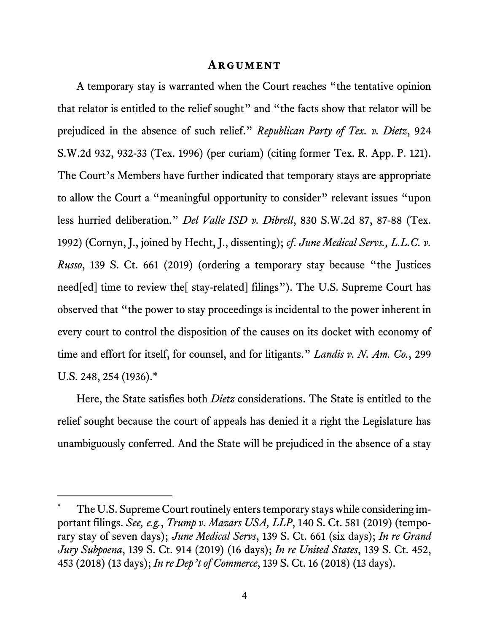#### **Argument**

A temporary stay is warranted when the Court reaches "the tentative opinion that relator is entitled to the relief sought" and "the facts show that relator will be prejudiced in the absence of such relief." *Republican Party of Tex. v. Dietz*, 924 S.W.2d 932, 932-33 (Tex. 1996) (per curiam) (citing former Tex. R. App. P. 121). The Court's Members have further indicated that temporary stays are appropriate to allow the Court a "meaningful opportunity to consider" relevant issues "upon less hurried deliberation." *Del Valle ISD v. Dibrell*, 830 S.W.2d 87, 87-88 (Tex. 1992) (Cornyn, J., joined by Hecht, J., dissenting); *cf*. *June Medical Servs., L.L.C. v. Russo*, 139 S. Ct. 661 (2019) (ordering a temporary stay because "the Justices need[ed] time to review the[ stay-related] filings"). The U.S. Supreme Court has observed that "the power to stay proceedings is incidental to the power inherent in every court to control the disposition of the causes on its docket with economy of time and effort for itself, for counsel, and for litigants." *Landis v. N. Am. Co.*, 299 U.S. 248, 254 (1936).\*

Here, the State satisfies both *Dietz* considerations. The State is entitled to the relief sought because the court of appeals has denied it a right the Legislature has unambiguously conferred. And the State will be prejudiced in the absence of a stay

<u>.</u>

<sup>\*</sup> The U.S. Supreme Court routinely enters temporary stays while considering important filings. *See, e.g.*, *Trump v. Mazars USA, LLP*, 140 S. Ct. 581 (2019) (temporary stay of seven days); *June Medical Servs*, 139 S. Ct. 661 (six days); *In re Grand Jury Subpoena*, 139 S. Ct. 914 (2019) (16 days); *In re United States*, 139 S. Ct. 452, 453 (2018) (13 days); *In re Dep't of Commerce*, 139 S. Ct. 16 (2018) (13 days).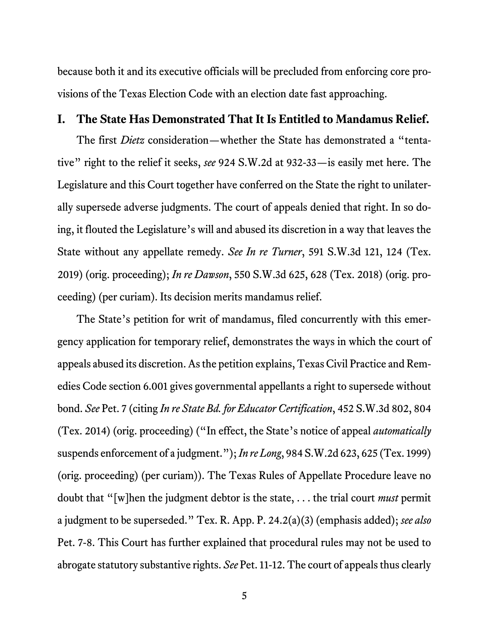because both it and its executive officials will be precluded from enforcing core provisions of the Texas Election Code with an election date fast approaching.

### **I. The State Has Demonstrated That It Is Entitled to Mandamus Relief.**

The first *Dietz* consideration—whether the State has demonstrated a "tentative" right to the relief it seeks, *see* 924 S.W.2d at 932-33—is easily met here. The Legislature and this Court together have conferred on the State the right to unilaterally supersede adverse judgments. The court of appeals denied that right. In so doing, it flouted the Legislature's will and abused its discretion in a way that leaves the State without any appellate remedy. *See In re Turner*, 591 S.W.3d 121, 124 (Tex. 2019) (orig. proceeding); *In re Dawson*, 550 S.W.3d 625, 628 (Tex. 2018) (orig. proceeding) (per curiam). Its decision merits mandamus relief.

The State's petition for writ of mandamus, filed concurrently with this emergency application for temporary relief, demonstrates the ways in which the court of appeals abused its discretion. As the petition explains, Texas Civil Practice and Remedies Code section 6.001 gives governmental appellants a right to supersede without bond. *See* Pet. 7 (citing *In re State Bd. for Educator Certification*, 452 S.W.3d 802, 804 (Tex. 2014) (orig. proceeding) ("In effect, the State's notice of appeal *automatically* suspends enforcement of a judgment."); *In re Long*, 984 S.W.2d 623, 625 (Tex. 1999) (orig. proceeding) (per curiam)). The Texas Rules of Appellate Procedure leave no doubt that "[w]hen the judgment debtor is the state, . . . the trial court *must* permit a judgment to be superseded." Tex. R. App. P. 24.2(a)(3) (emphasis added); *see also* Pet. 7-8. This Court has further explained that procedural rules may not be used to abrogate statutory substantive rights. *See* Pet. 11-12. The court of appeals thus clearly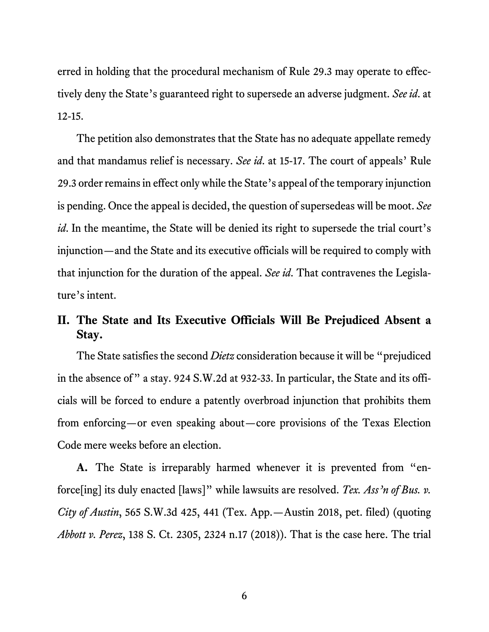erred in holding that the procedural mechanism of Rule 29.3 may operate to effectively deny the State's guaranteed right to supersede an adverse judgment. *See id*. at 12-15.

The petition also demonstrates that the State has no adequate appellate remedy and that mandamus relief is necessary. *See id*. at 15-17. The court of appeals' Rule 29.3 order remains in effect only while the State's appeal of the temporary injunction is pending. Once the appeal is decided, the question of supersedeas will be moot. *See id*. In the meantime, the State will be denied its right to supersede the trial court's injunction—and the State and its executive officials will be required to comply with that injunction for the duration of the appeal. *See id*. That contravenes the Legislature's intent.

# **II. The State and Its Executive Officials Will Be Prejudiced Absent a Stay.**

The State satisfies the second *Dietz* consideration because it will be "prejudiced in the absence of" a stay. 924 S.W.2d at 932-33. In particular, the State and its officials will be forced to endure a patently overbroad injunction that prohibits them from enforcing—or even speaking about—core provisions of the Texas Election Code mere weeks before an election.

**A.** The State is irreparably harmed whenever it is prevented from "enforce[ing] its duly enacted [laws]" while lawsuits are resolved. *Tex. Ass'n of Bus. v. City of Austin*, 565 S.W.3d 425, 441 (Tex. App.—Austin 2018, pet. filed) (quoting *Abbott v. Perez*, 138 S. Ct. 2305, 2324 n.17 (2018)). That is the case here. The trial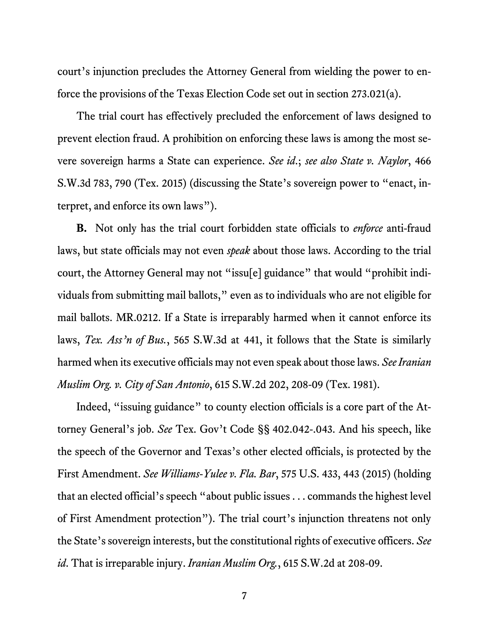court's injunction precludes the Attorney General from wielding the power to enforce the provisions of the Texas Election Code set out in section 273.021(a).

The trial court has effectively precluded the enforcement of laws designed to prevent election fraud. A prohibition on enforcing these laws is among the most severe sovereign harms a State can experience. *See id*.; *see also State v. Naylor*, 466 S.W.3d 783, 790 (Tex. 2015) (discussing the State's sovereign power to "enact, interpret, and enforce its own laws").

**B.** Not only has the trial court forbidden state officials to *enforce* anti-fraud laws, but state officials may not even *speak* about those laws. According to the trial court, the Attorney General may not "issu[e] guidance" that would "prohibit individuals from submitting mail ballots," even as to individuals who are not eligible for mail ballots. MR.0212. If a State is irreparably harmed when it cannot enforce its laws, *Tex. Ass'n of Bus.*, 565 S.W.3d at 441, it follows that the State is similarly harmed when its executive officials may not even speak about those laws. *See Iranian Muslim Org. v. City of San Antonio*, 615 S.W.2d 202, 208-09 (Tex. 1981).

Indeed, "issuing guidance" to county election officials is a core part of the Attorney General's job. *See* Tex. Gov't Code §§ 402.042-.043. And his speech, like the speech of the Governor and Texas's other elected officials, is protected by the First Amendment. *See Williams-Yulee v. Fla. Bar*, 575 U.S. 433, 443 (2015) (holding that an elected official's speech "about public issues . . . commands the highest level of First Amendment protection"). The trial court's injunction threatens not only the State's sovereign interests, but the constitutional rights of executive officers. *See id*. That is irreparable injury. *Iranian Muslim Org.*, 615 S.W.2d at 208-09.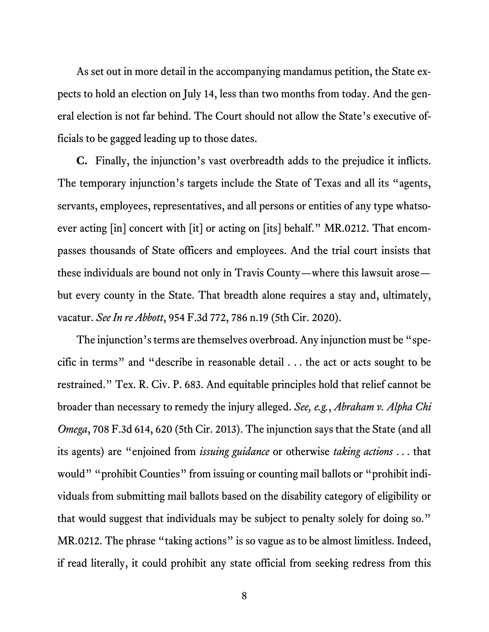As set out in more detail in the accompanying mandamus petition, the State expects to hold an election on July 14, less than two months from today. And the general election is not far behind. The Court should not allow the State's executive officials to be gagged leading up to those dates.

**C.** Finally, the injunction's vast overbreadth adds to the prejudice it inflicts. The temporary injunction's targets include the State of Texas and all its "agents, servants, employees, representatives, and all persons or entities of any type whatsoever acting [in] concert with [it] or acting on [its] behalf." MR.0212. That encompasses thousands of State officers and employees. And the trial court insists that these individuals are bound not only in Travis County—where this lawsuit arose but every county in the State. That breadth alone requires a stay and, ultimately, vacatur. *See In re Abbott*, 954 F.3d 772, 786 n.19 (5th Cir. 2020).

The injunction's terms are themselves overbroad. Any injunction must be "specific in terms" and "describe in reasonable detail . . . the act or acts sought to be restrained." Tex. R. Civ. P. 683. And equitable principles hold that relief cannot be broader than necessary to remedy the injury alleged. *See, e.g.*, *Abraham v. Alpha Chi Omega*, 708 F.3d 614, 620 (5th Cir. 2013). The injunction says that the State (and all its agents) are "enjoined from *issuing guidance* or otherwise *taking actions* . . . that would" "prohibit Counties" from issuing or counting mail ballots or "prohibit individuals from submitting mail ballots based on the disability category of eligibility or that would suggest that individuals may be subject to penalty solely for doing so." MR.0212. The phrase "taking actions" is so vague as to be almost limitless. Indeed, if read literally, it could prohibit any state official from seeking redress from this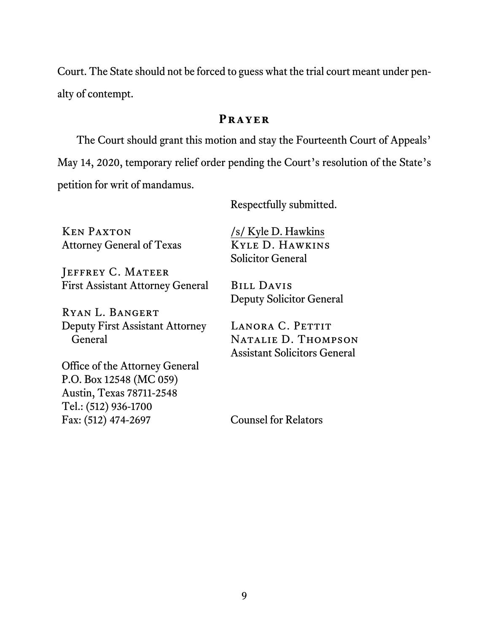Court. The State should not be forced to guess what the trial court meant under penalty of contempt.

# **Prayer**

The Court should grant this motion and stay the Fourteenth Court of Appeals' May 14, 2020, temporary relief order pending the Court's resolution of the State's petition for writ of mandamus.

Respectfully submitted.

Ken Paxton Attorney General of Texas

JEFFREY C. MATEER First Assistant Attorney General

Ryan L. Bangert Deputy First Assistant Attorney General

/s/ Kyle D. Hawkins Kyle D. Hawkins Solicitor General

Bill Davis Deputy Solicitor General

LANORA C. PETTIT Natalie D. Thompson Assistant Solicitors General

Office of the Attorney General P.O. Box 12548 (MC 059) Austin, Texas 78711-2548 Tel.: (512) 936-1700 Fax: (512) 474-2697

Counsel for Relators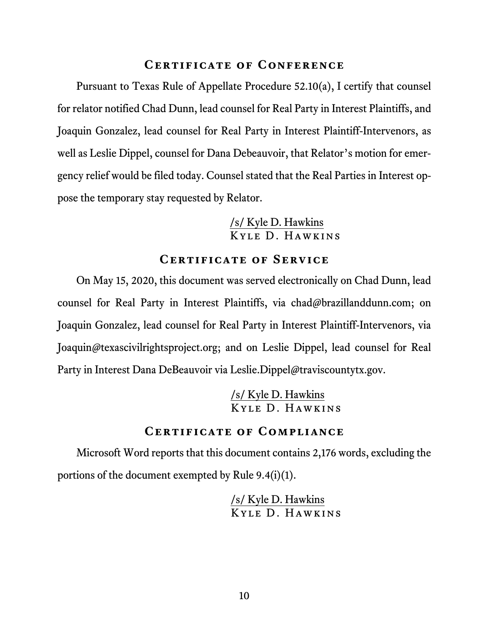#### **Certificate of Conference**

Pursuant to Texas Rule of Appellate Procedure 52.10(a), I certify that counsel for relator notified Chad Dunn, lead counsel for Real Party in Interest Plaintiffs, and Joaquin Gonzalez, lead counsel for Real Party in Interest Plaintiff-Intervenors, as well as Leslie Dippel, counsel for Dana Debeauvoir, that Relator's motion for emergency relief would be filed today. Counsel stated that the Real Parties in Interest oppose the temporary stay requested by Relator.

# /s/ Kyle D. Hawkins Kyle D. Hawkins

## **Certificate of Service**

On May 15, 2020, this document was served electronically on Chad Dunn, lead counsel for Real Party in Interest Plaintiffs, via chad@brazillanddunn.com; on Joaquin Gonzalez, lead counsel for Real Party in Interest Plaintiff-Intervenors, via Joaquin@texascivilrightsproject.org; and on Leslie Dippel, lead counsel for Real Party in Interest Dana DeBeauvoir via Leslie.Dippel@traviscountytx.gov.

> /s/ Kyle D. Hawkins Kyle D. Hawkins

# **Certificate of Compliance**

Microsoft Word reports that this document contains 2,176 words, excluding the portions of the document exempted by Rule 9.4(i)(1).

> /s/ Kyle D. Hawkins Kyle D. Hawkins